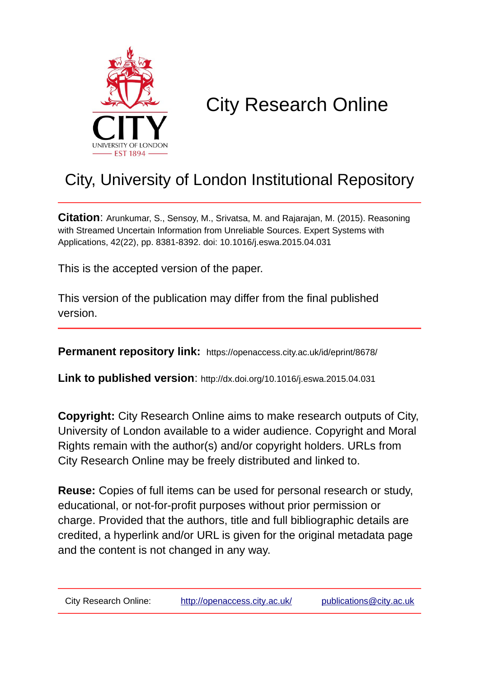

# City Research Online

# City, University of London Institutional Repository

**Citation**: Arunkumar, S., Sensoy, M., Srivatsa, M. and Rajarajan, M. (2015). Reasoning with Streamed Uncertain Information from Unreliable Sources. Expert Systems with Applications, 42(22), pp. 8381-8392. doi: 10.1016/j.eswa.2015.04.031

This is the accepted version of the paper.

This version of the publication may differ from the final published version.

**Permanent repository link:** https://openaccess.city.ac.uk/id/eprint/8678/

**Link to published version**: http://dx.doi.org/10.1016/j.eswa.2015.04.031

**Copyright:** City Research Online aims to make research outputs of City, University of London available to a wider audience. Copyright and Moral Rights remain with the author(s) and/or copyright holders. URLs from City Research Online may be freely distributed and linked to.

**Reuse:** Copies of full items can be used for personal research or study, educational, or not-for-profit purposes without prior permission or charge. Provided that the authors, title and full bibliographic details are credited, a hyperlink and/or URL is given for the original metadata page and the content is not changed in any way.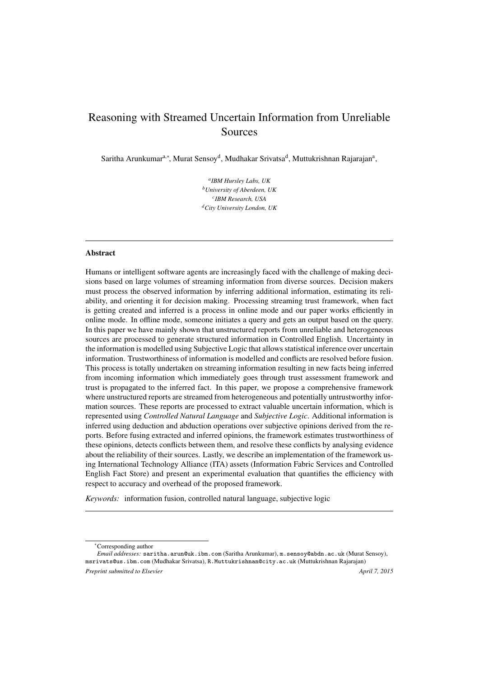# Reasoning with Streamed Uncertain Information from Unreliable Sources

Saritha Arunkumar<sup>a,∗</sup>, Murat Sensoy<sup>d</sup>, Mudhakar Srivatsa<sup>d</sup>, Muttukrishnan Rajarajan<sup>a</sup>,

*a IBM Hursley Labs, UK <sup>b</sup>University of Aberdeen, UK c IBM Research, USA <sup>d</sup>City University London, UK*

# Abstract

Humans or intelligent software agents are increasingly faced with the challenge of making decisions based on large volumes of streaming information from diverse sources. Decision makers must process the observed information by inferring additional information, estimating its reliability, and orienting it for decision making. Processing streaming trust framework, when fact is getting created and inferred is a process in online mode and our paper works efficiently in online mode. In offline mode, someone initiates a query and gets an output based on the query. In this paper we have mainly shown that unstructured reports from unreliable and heterogeneous sources are processed to generate structured information in Controlled English. Uncertainty in the information is modelled using Subjective Logic that allows statistical inference over uncertain information. Trustworthiness of information is modelled and conflicts are resolved before fusion. This process is totally undertaken on streaming information resulting in new facts being inferred from incoming information which immediately goes through trust assessment framework and trust is propagated to the inferred fact. In this paper, we propose a comprehensive framework where unstructured reports are streamed from heterogeneous and potentially untrustworthy information sources. These reports are processed to extract valuable uncertain information, which is represented using *Controlled Natural Language* and *Subjective Logic*. Additional information is inferred using deduction and abduction operations over subjective opinions derived from the reports. Before fusing extracted and inferred opinions, the framework estimates trustworthiness of these opinions, detects conflicts between them, and resolve these conflicts by analysing evidence about the reliability of their sources. Lastly, we describe an implementation of the framework using International Technology Alliance (ITA) assets (Information Fabric Services and Controlled English Fact Store) and present an experimental evaluation that quantifies the efficiency with respect to accuracy and overhead of the proposed framework.

*Keywords:* information fusion, controlled natural language, subjective logic

<sup>∗</sup>Corresponding author

*Email addresses:* saritha.arun@uk.ibm.com (Saritha Arunkumar), m.sensoy@abdn.ac.uk (Murat Sensoy), msrivats@us.ibm.com (Mudhakar Srivatsa), R.Muttukrishnan@city.ac.uk (Muttukrishnan Rajarajan) *Preprint submitted to Elsevier* April 7, 2015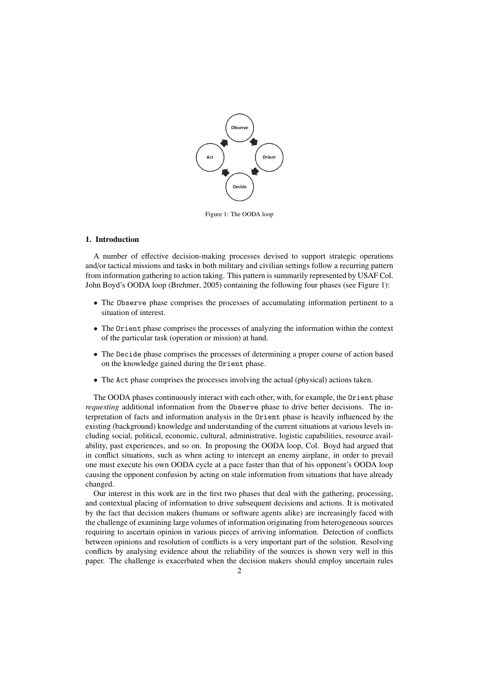

Figure 1: The OODA loop

#### 1. Introduction

A number of effective decision-making processes devised to support strategic operations and/or tactical missions and tasks in both military and civilian settings follow a recurring pattern from information gathering to action taking. This pattern is summarily represented by USAF Col. John Boyd's OODA loop (Brehmer, 2005) containing the following four phases (see Figure 1):

- The Observe phase comprises the processes of accumulating information pertinent to a situation of interest.
- The Orient phase comprises the processes of analyzing the information within the context of the particular task (operation or mission) at hand.
- The Decide phase comprises the processes of determining a proper course of action based on the knowledge gained during the Orient phase.
- The Act phase comprises the processes involving the actual (physical) actions taken.

The OODA phases continuously interact with each other, with, for example, the Orient phase *requesting* additional information from the Observe phase to drive better decisions. The interpretation of facts and information analysis in the Orient phase is heavily influenced by the existing (background) knowledge and understanding of the current situations at various levels including social, political, economic, cultural, administrative, logistic capabilities, resource availability, past experiences, and so on. In proposing the OODA loop, Col. Boyd had argued that in conflict situations, such as when acting to intercept an enemy airplane, in order to prevail one must execute his own OODA cycle at a pace faster than that of his opponent's OODA loop causing the opponent confusion by acting on stale information from situations that have already changed.

Our interest in this work are in the first two phases that deal with the gathering, processing, and contextual placing of information to drive subsequent decisions and actions. It is motivated by the fact that decision makers (humans or software agents alike) are increasingly faced with the challenge of examining large volumes of information originating from heterogeneous sources requiring to ascertain opinion in various pieces of arriving information. Detection of conflicts between opinions and resolution of conflicts is a very important part of the solution. Resolving conflicts by analysing evidence about the reliability of the sources is shown very well in this paper. The challenge is exacerbated when the decision makers should employ uncertain rules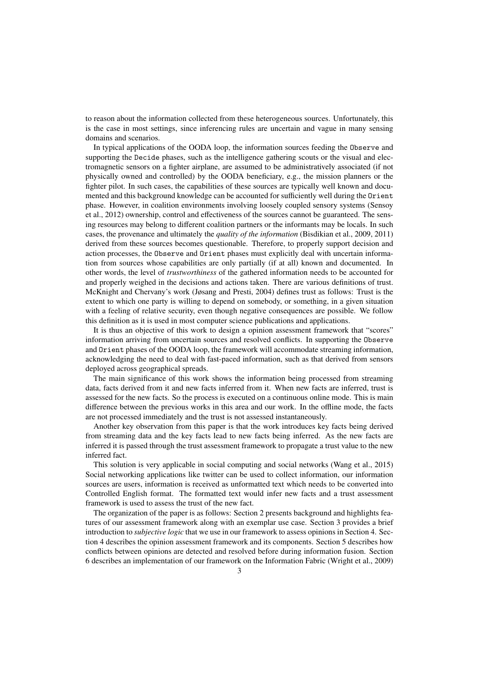to reason about the information collected from these heterogeneous sources. Unfortunately, this is the case in most settings, since inferencing rules are uncertain and vague in many sensing domains and scenarios.

In typical applications of the OODA loop, the information sources feeding the Observe and supporting the Decide phases, such as the intelligence gathering scouts or the visual and electromagnetic sensors on a fighter airplane, are assumed to be administratively associated (if not physically owned and controlled) by the OODA beneficiary, e.g., the mission planners or the fighter pilot. In such cases, the capabilities of these sources are typically well known and documented and this background knowledge can be accounted for sufficiently well during the Orient phase. However, in coalition environments involving loosely coupled sensory systems (Sensoy et al., 2012) ownership, control and effectiveness of the sources cannot be guaranteed. The sensing resources may belong to different coalition partners or the informants may be locals. In such cases, the provenance and ultimately the *quality of the information* (Bisdikian et al., 2009, 2011) derived from these sources becomes questionable. Therefore, to properly support decision and action processes, the Observe and Orient phases must explicitly deal with uncertain information from sources whose capabilities are only partially (if at all) known and documented. In other words, the level of *trustworthiness* of the gathered information needs to be accounted for and properly weighed in the decisions and actions taken. There are various definitions of trust. McKnight and Chervany's work (Jøsang and Presti, 2004) defines trust as follows: Trust is the extent to which one party is willing to depend on somebody, or something, in a given situation with a feeling of relative security, even though negative consequences are possible. We follow this definition as it is used in most computer science publications and applications.

It is thus an objective of this work to design a opinion assessment framework that "scores" information arriving from uncertain sources and resolved conflicts. In supporting the Observe and Orient phases of the OODA loop, the framework will accommodate streaming information, acknowledging the need to deal with fast-paced information, such as that derived from sensors deployed across geographical spreads.

The main significance of this work shows the information being processed from streaming data, facts derived from it and new facts inferred from it. When new facts are inferred, trust is assessed for the new facts. So the process is executed on a continuous online mode. This is main difference between the previous works in this area and our work. In the offline mode, the facts are not processed immediately and the trust is not assessed instantaneously.

Another key observation from this paper is that the work introduces key facts being derived from streaming data and the key facts lead to new facts being inferred. As the new facts are inferred it is passed through the trust assessment framework to propagate a trust value to the new inferred fact.

This solution is very applicable in social computing and social networks (Wang et al., 2015) Social networking applications like twitter can be used to collect information, our information sources are users, information is received as unformatted text which needs to be converted into Controlled English format. The formatted text would infer new facts and a trust assessment framework is used to assess the trust of the new fact.

The organization of the paper is as follows: Section 2 presents background and highlights features of our assessment framework along with an exemplar use case. Section 3 provides a brief introduction to *subjective logic* that we use in our framework to assess opinions in Section 4. Section 4 describes the opinion assessment framework and its components. Section 5 describes how conflicts between opinions are detected and resolved before during information fusion. Section 6 describes an implementation of our framework on the Information Fabric (Wright et al., 2009)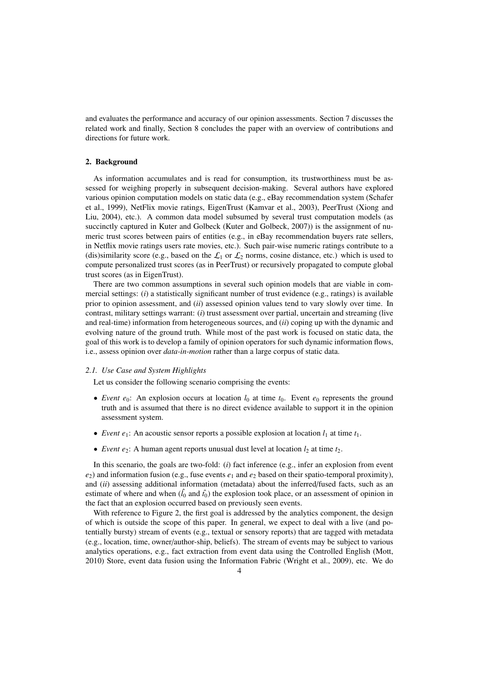and evaluates the performance and accuracy of our opinion assessments. Section 7 discusses the related work and finally, Section 8 concludes the paper with an overview of contributions and directions for future work.

# 2. Background

As information accumulates and is read for consumption, its trustworthiness must be assessed for weighing properly in subsequent decision-making. Several authors have explored various opinion computation models on static data (e.g., eBay recommendation system (Schafer et al., 1999), NetFlix movie ratings, EigenTrust (Kamvar et al., 2003), PeerTrust (Xiong and Liu, 2004), etc.). A common data model subsumed by several trust computation models (as succinctly captured in Kuter and Golbeck (Kuter and Golbeck, 2007)) is the assignment of numeric trust scores between pairs of entities (e.g., in eBay recommendation buyers rate sellers, in Netflix movie ratings users rate movies, etc.). Such pair-wise numeric ratings contribute to a (dis)similarity score (e.g., based on the  $\mathcal{L}_1$  or  $\mathcal{L}_2$  norms, cosine distance, etc.) which is used to compute personalized trust scores (as in PeerTrust) or recursively propagated to compute global trust scores (as in EigenTrust).

There are two common assumptions in several such opinion models that are viable in commercial settings: (*i*) a statistically significant number of trust evidence (e.g., ratings) is available prior to opinion assessment, and (*ii*) assessed opinion values tend to vary slowly over time. In contrast, military settings warrant: (*i*) trust assessment over partial, uncertain and streaming (live and real-time) information from heterogeneous sources, and (*ii*) coping up with the dynamic and evolving nature of the ground truth. While most of the past work is focused on static data, the goal of this work is to develop a family of opinion operators for such dynamic information flows, i.e., assess opinion over *data-in-motion* rather than a large corpus of static data.

#### *2.1. Use Case and System Highlights*

Let us consider the following scenario comprising the events:

- *Event e*<sub>0</sub>: An explosion occurs at location  $l_0$  at time  $t_0$ . Event  $e_0$  represents the ground truth and is assumed that there is no direct evidence available to support it in the opinion assessment system.
- *Event e*<sub>1</sub>: An acoustic sensor reports a possible explosion at location  $l_1$  at time  $t_1$ .
- *Event e*<sub>2</sub>: A human agent reports unusual dust level at location  $l_2$  at time  $t_2$ .

In this scenario, the goals are two-fold: (*i*) fact inference (e.g., infer an explosion from event  $e_2$ ) and information fusion (e.g., fuse events  $e_1$  and  $e_2$  based on their spatio-temporal proximity), and (*ii*) assessing additional information (metadata) about the inferred/fused facts, such as an estimate of where and when  $(\hat{l}_0$  and  $\hat{t}_0)$  the explosion took place, or an assessment of opinion in the fact that an explosion occurred based on previously seen events.

With reference to Figure 2, the first goal is addressed by the analytics component, the design of which is outside the scope of this paper. In general, we expect to deal with a live (and potentially bursty) stream of events (e.g., textual or sensory reports) that are tagged with metadata (e.g., location, time, owner/author-ship, beliefs). The stream of events may be subject to various analytics operations, e.g., fact extraction from event data using the Controlled English (Mott, 2010) Store, event data fusion using the Information Fabric (Wright et al., 2009), etc. We do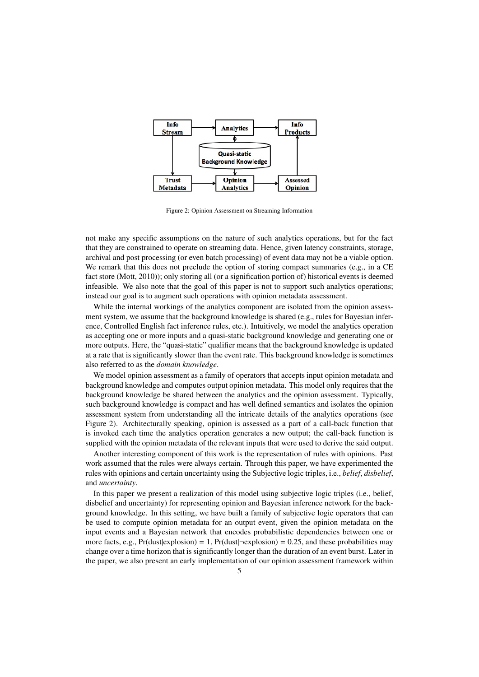

Figure 2: Opinion Assessment on Streaming Information

not make any specific assumptions on the nature of such analytics operations, but for the fact that they are constrained to operate on streaming data. Hence, given latency constraints, storage, archival and post processing (or even batch processing) of event data may not be a viable option. We remark that this does not preclude the option of storing compact summaries (e.g., in a CE fact store (Mott, 2010)); only storing all (or a signification portion of) historical events is deemed infeasible. We also note that the goal of this paper is not to support such analytics operations; instead our goal is to augment such operations with opinion metadata assessment.

While the internal workings of the analytics component are isolated from the opinion assessment system, we assume that the background knowledge is shared (e.g., rules for Bayesian inference, Controlled English fact inference rules, etc.). Intuitively, we model the analytics operation as accepting one or more inputs and a quasi-static background knowledge and generating one or more outputs. Here, the "quasi-static" qualifier means that the background knowledge is updated at a rate that is significantly slower than the event rate. This background knowledge is sometimes also referred to as the *domain knowledge*.

We model opinion assessment as a family of operators that accepts input opinion metadata and background knowledge and computes output opinion metadata. This model only requires that the background knowledge be shared between the analytics and the opinion assessment. Typically, such background knowledge is compact and has well defined semantics and isolates the opinion assessment system from understanding all the intricate details of the analytics operations (see Figure 2). Architecturally speaking, opinion is assessed as a part of a call-back function that is invoked each time the analytics operation generates a new output; the call-back function is supplied with the opinion metadata of the relevant inputs that were used to derive the said output.

Another interesting component of this work is the representation of rules with opinions. Past work assumed that the rules were always certain. Through this paper, we have experimented the rules with opinions and certain uncertainty using the Subjective logic triples, i.e., *belief*, *disbelief*, and *uncertainty*.

In this paper we present a realization of this model using subjective logic triples (i.e., belief, disbelief and uncertainty) for representing opinion and Bayesian inference network for the background knowledge. In this setting, we have built a family of subjective logic operators that can be used to compute opinion metadata for an output event, given the opinion metadata on the input events and a Bayesian network that encodes probabilistic dependencies between one or more facts, e.g.,  $Pr(dust|explosion) = 1$ ,  $Pr(dust|\neg explosion) = 0.25$ , and these probabilities may change over a time horizon that is significantly longer than the duration of an event burst. Later in the paper, we also present an early implementation of our opinion assessment framework within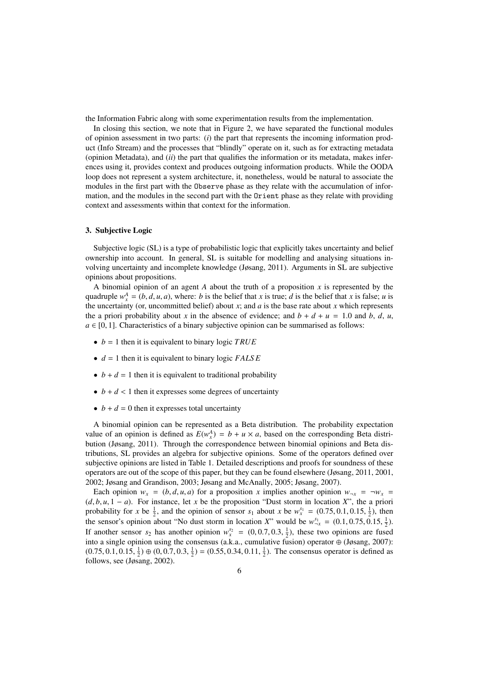the Information Fabric along with some experimentation results from the implementation.

In closing this section, we note that in Figure 2, we have separated the functional modules of opinion assessment in two parts: (*i*) the part that represents the incoming information product (Info Stream) and the processes that "blindly" operate on it, such as for extracting metadata (opinion Metadata), and (*ii*) the part that qualifies the information or its metadata, makes inferences using it, provides context and produces outgoing information products. While the OODA loop does not represent a system architecture, it, nonetheless, would be natural to associate the modules in the first part with the Observe phase as they relate with the accumulation of information, and the modules in the second part with the Orient phase as they relate with providing context and assessments within that context for the information.

# 3. Subjective Logic

Subjective logic (SL) is a type of probabilistic logic that explicitly takes uncertainty and belief ownership into account. In general, SL is suitable for modelling and analysing situations involving uncertainty and incomplete knowledge (Jøsang, 2011). Arguments in SL are subjective opinions about propositions.

A binomial opinion of an agent *A* about the truth of a proposition *x* is represented by the quadruple  $w_x^A = (b, d, u, a)$ , where: *b* is the belief that *x* is true; *d* is the belief that *x* is false; *u* is the uncertainty (or uncommitted belief) about *x* and *a* is the base rate about *x* which represents the uncertainty (or, uncommitted belief) about *x*; and *a* is the base rate about *x* which represents the a priori probability about *x* in the absence of evidence; and  $b + d + u = 1.0$  and *b*, *d*, *u*,  $a \in [0, 1]$ . Characteristics of a binary subjective opinion can be summarised as follows:

- $\bullet$  *b* = 1 then it is equivalent to binary logic *TRUE*
- *d* = 1 then it is equivalent to binary logic *FALS E*
- $b + d = 1$  then it is equivalent to traditional probability
- $\bullet$  *b* + *d* < 1 then it expresses some degrees of uncertainty
- $b + d = 0$  then it expresses total uncertainty

A binomial opinion can be represented as a Beta distribution. The probability expectation value of an opinion is defined as  $E(w_x^A) = b + u \times a$ , based on the corresponding Beta distribution (Jøsang, 2011). Through the correspondence between binomial opinions and Beta distributions, SL provides an algebra for subjective opinions. Some of the operators defined over subjective opinions are listed in Table 1. Detailed descriptions and proofs for soundness of these operators are out of the scope of this paper, but they can be found elsewhere (Jøsang, 2011, 2001, 2002; Jøsang and Grandison, 2003; Jøsang and McAnally, 2005; Jøsang, 2007).

Each opinion  $w_x = (b, d, u, a)$  for a proposition *x* implies another opinion  $w_{\text{g}} = -w_x =$  $(d, b, u, 1 - a)$ . For instance, let *x* be the proposition "Dust storm in location *X*", the a priori probability for *x* be  $\frac{1}{2}$ , and the opinion of sensor *s*<sub>1</sub> about *x* be  $w_x^{s_1} = (0.75, 0.1, 0.15, \frac{1}{2})$ , then<br>the sensor's opinion about "No dust sterm in location Y" would be  $w_{x_1}^{s_1} = (0.1, 0.75, 0.15, \frac{1$ the sensor's opinion about "No dust storm in location *X*" would be  $w_{x}^{s_1} = (0.1, 0.75, 0.15, \frac{1}{2})$ .<br>If another sensor *s*<sub>1</sub> has another opinion  $w_{x}^{s_2} = (0.07, 0.3, \frac{1}{2})$ , these two opinions are fused If another sensor  $s_2$  has another opinion  $w_{\lambda}^{s_2} = (0, 0.7, 0.3, \frac{1}{2})$ , these two opinions are fused<br>into a single opinion using the consensus (a k a cumulative fusion) operator  $\oplus$  (Jesang 2007). into a single opinion using the consensus (a.k.a., cumulative fusion) operator ⊕ (Jøsang, 2007):  $(0.75, 0.1, 0.15, \frac{1}{2}) \oplus (0, 0.7, 0.3, \frac{1}{2}) = (0.55, 0.34, 0.11, \frac{1}{2})$ . The consensus operator is defined as follows see (Jasang 2002). follows, see (Jøsang, 2002).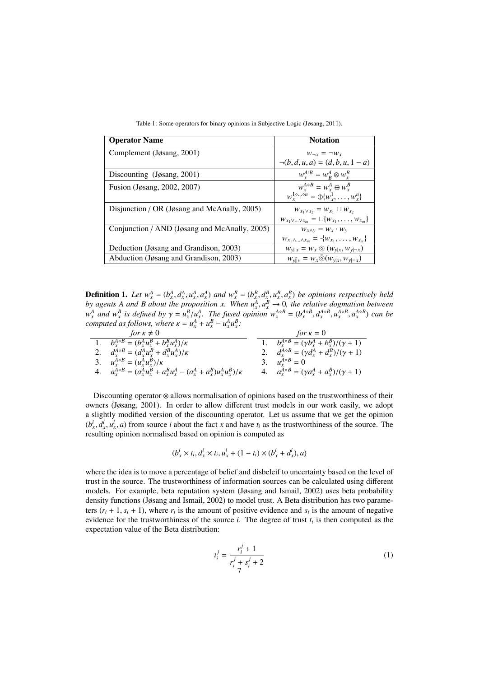| <b>Operator Name</b>                          | <b>Notation</b>                                                             |
|-----------------------------------------------|-----------------------------------------------------------------------------|
| Complement (Jøsang, 2001)                     | $W_{\neg x} = \neg W_x$                                                     |
|                                               | $\neg(b, d, u, a) = (d, b, u, 1 - a)$                                       |
| Discounting $(J\phi\text{sang}, 2001)$        | $w_x^{A:B} = w_B^A \otimes w_x^B$                                           |
| Fusion (Jøsang, 2002, 2007)                   | $w_x^{A \diamond B} = w_x^A \oplus w_x^B$                                   |
|                                               | $W^{1 \circ \dots \circ n}_{r} = \bigoplus \{W^{1}_{r}, \dots, W^{n}_{r}\}$ |
| Disjunction / OR (Jøsang and McAnally, 2005)  | $W_{x_1 \vee x_2} = W_{x_1} \sqcup W_{x_2}$                                 |
|                                               | $W_{x_1 \vee  \vee x_m} = \Box \{W_{x_1}, \ldots, W_{x_m}\}\$               |
| Conjunction / AND (Jøsang and McAnally, 2005) | $W_{X\wedge Y} = W_X \cdot W_Y$                                             |
|                                               | $w_{x_1 \wedge  \wedge x_m} = \cdot \{w_{x_1}, \ldots, w_{x_m}\}\$          |
| Deduction (Jøsang and Grandison, 2003)        | $W_{y  x} = W_x \odot (W_{y x}, W_{y x})$                                   |
| Abduction (Jøsang and Grandison, 2003)        | $W_{\nu\bar{x}} = W_x \bar{\odot} (W_{y x}, W_{y x})$                       |

Table 1: Some operators for binary opinions in Subjective Logic (Jøsang, 2011).

**Definition 1.** Let  $w_x^A = (b_x^A, d_x^A, u_x^A, a_x^A)$  and  $w_y^B = (b_x^B, d_x^B, u_x^B, a_y^B)$  be opinions respectively held<br>by geents A and B about the proposition x. When  $u^A, u^B \rightarrow 0$ , the relative dogmatism between *by agents A and B about the proposition x. When*  $u^A_\lambda, u^B_\lambda \to 0$ *, the relative dogmatism between*  $u^A$  and  $w^B$  is defined by  $\alpha = u^B u^A$ . The fused opinion  $w^{A \circ B} = (h^{A \circ B}, h^{A \circ B}, h^{A \circ B})$  can be  $w_x^A$  and  $w_x^B$  is defined by  $\gamma = u_x^B/u_x^A$ . The fused opinion  $w_x^{A \circ B} = (b_x^{A \circ B}, d_x^{A \circ B}, u_x^{A \circ B}, a_x^{A \circ B})$  can be computed as follows where  $\kappa = u^A + u^B = u^A u^B$ . *computed as follows, where*  $\kappa = u_x^A + u_x^B - u_x^A u_x^B$ .<br>*for*  $\kappa \neq 0$ 

| for $\kappa \neq 0$                                                                     | for $\kappa = 0$                                              |
|-----------------------------------------------------------------------------------------|---------------------------------------------------------------|
| 1. $b_x^{A \diamond B} = (b_x^A u_x^B + b_x^B u_x^A)/\kappa$                            | 1. $b_x^{A \diamond B} = (\gamma b_x^A + b_x^B)/(\gamma + 1)$ |
| 2. $d_x^{A \diamond B} = (d_x^A u_x^B + d_x^B u_x^A)/\kappa$                            | 2. $d_x^{A \diamond B} = (\gamma d_x^A + d_x^B)/(\gamma + 1)$ |
| 3. $u_x^{A \diamond B} = (u_x^A u_y^B)/\kappa$                                          | 3. $u_x^{A \diamond B} = 0$                                   |
| 4. $a_x^{A \circ B} = (a_x^A u_x^B + a_x^B u_x^A - (a_x^A + a_x^B) u_x^A u_x^B)/\kappa$ | 4. $a_x^{A \diamond B} = (\gamma a_x^A + a_x^B)/(\gamma + 1)$ |
|                                                                                         |                                                               |

Discounting operator ⊗ allows normalisation of opinions based on the trustworthiness of their owners (Jøsang, 2001). In order to allow different trust models in our work easily, we adopt a slightly modified version of the discounting operator. Let us assume that we get the opinion  $(b_x^i, d_x^i, u_x^i, a)$  from source *i* about the fact *x* and have  $t_i$  as the trustworthiness of the source. The resulting opinion pormalised based on opinion is computed as resulting opinion normalised based on opinion is computed as

$$
(b_x^i \times t_i, d_x^i \times t_i, u_x^i + (1 - t_i) \times (b_x^i + d_x^i), a)
$$

where the idea is to move a percentage of belief and disbeleif to uncertainty based on the level of trust in the source. The trustworthiness of information sources can be calculated using different models. For example, beta reputation system (Jøsang and Ismail, 2002) uses beta probability density functions (Jøsang and Ismail, 2002) to model trust. A Beta distribution has two parameters  $(r_i + 1, s_i + 1)$ , where  $r_i$  is the amount of positive evidence and  $s_i$  is the amount of negative evidence for the trustworthiness of the source *i*. The degree of trust *t*, is then computed as the evidence for the trustworthiness of the source  $i$ . The degree of trust  $t_i$  is then computed as the expectation value of the Beta distribution:

$$
t_i^j = \frac{r_i^j + 1}{r_i^j + s_i^j + 2}
$$
 (1)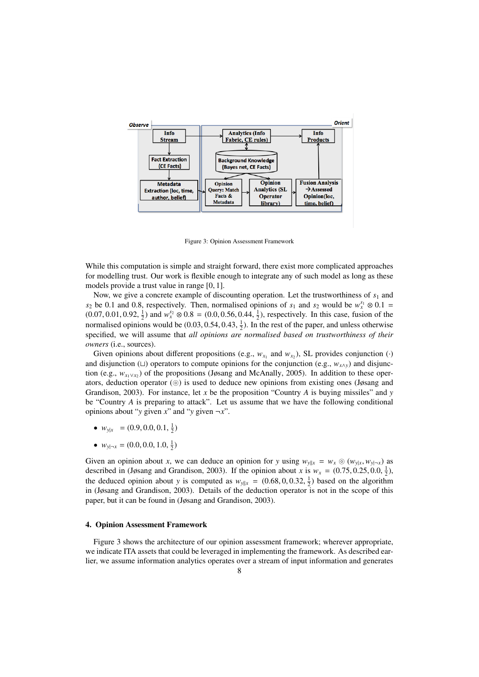

Figure 3: Opinion Assessment Framework

While this computation is simple and straight forward, there exist more complicated approaches for modelling trust. Our work is flexible enough to integrate any of such model as long as these models provide a trust value in range [0, 1].

Now, we give a concrete example of discounting operation. Let the trustworthiness of  $s<sub>1</sub>$  and *s*<sub>2</sub> be 0.1 and 0.8, respectively. Then, normalised opinions of  $s_1$  and  $s_2$  would be  $w_x^{s_1} \otimes 0.1 =$  (0.07, 0.01, 0.92,  $\frac{1}{2}$ ) and  $w_x^{s_2} \otimes 0.8 = (0.0, 0.56, 0.44, \frac{1}{2})$  respectively. In this case, fusion o  $(0.07, 0.01, 0.92, \frac{1}{2})$  and  $w_x^{s_2} \otimes 0.8 = (0.0, 0.56, 0.44, \frac{1}{2})$ , respectively. In this case, fusion of the normalised opinions would be  $(0.03, 0.54, 0.43, \frac{1}{2})$ . In the rest of the paper, and unless otherwise specified, we will assume that *all opinions are normalised based on trustworthiness of their owners* (i.e., sources).

Given opinions about different propositions (e.g.,  $w_{x_1}$  and  $w_{x_2}$ ), SL provides conjunction (·) and disjunction ( $\sqcup$ ) operators to compute opinions for the conjunction (e.g.,  $w_{x\wedge y}$ ) and disjunction (e.g.,  $w_{x_1 \vee x_2}$ ) of the propositions (Jøsang and McAnally, 2005). In addition to these operators, deduction operator  $(\circledcirc)$  is used to deduce new opinions from existing ones (Jøsang and Grandison, 2003). For instance, let *x* be the proposition "Country *A* is buying missiles" and *y* be "Country *A* is preparing to attack". Let us assume that we have the following conditional opinions about "*y* given *x*" and "*y* given  $\neg x$ ".

- $w_{y|x} = (0.9, 0.0, 0.1, \frac{1}{2})$
- $w_{y|\neg x} = (0.0, 0.0, 1.0, \frac{1}{2})$

Given an opinion about *x*, we can deduce an opinion for *y* using  $w_{y|x} = w_x \odot (w_{y|x}, w_{y|x})$  as described in (Jøsang and Grandison, 2003). If the opinion about *x* is  $w_x = (0.75, 0.25, 0.0, \frac{1}{2})$ , the deduced opinion about *y* is computed as  $w_x = (0.68, 0.0, 32, \frac{1}{2})$ , based on the algorithm the deduced opinion about *y* is computed as  $w_{y||x} = (0.68, 0, 0.32, \frac{1}{2})$  based on the algorithm<br>in (Josang and Grandison, 2003). Details of the deduction operator is not in the scope of this in (Jøsang and Grandison, 2003). Details of the deduction operator is not in the scope of this paper, but it can be found in (Jøsang and Grandison, 2003).

### 4. Opinion Assessment Framework

Figure 3 shows the architecture of our opinion assessment framework; wherever appropriate, we indicate ITA assets that could be leveraged in implementing the framework. As described earlier, we assume information analytics operates over a stream of input information and generates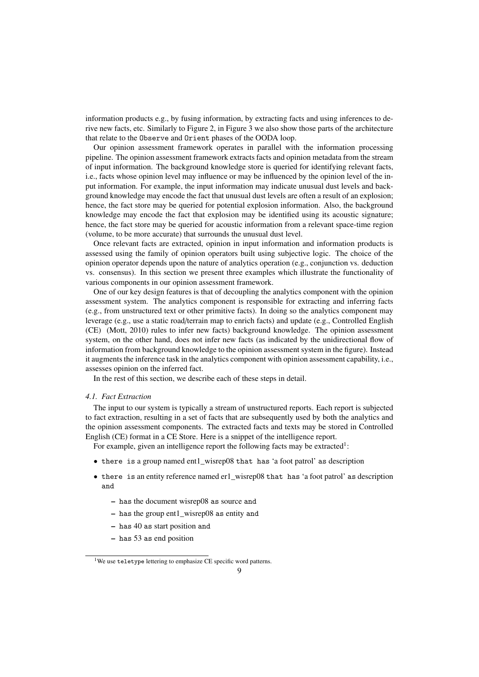information products e.g., by fusing information, by extracting facts and using inferences to derive new facts, etc. Similarly to Figure 2, in Figure 3 we also show those parts of the architecture that relate to the Observe and Orient phases of the OODA loop.

Our opinion assessment framework operates in parallel with the information processing pipeline. The opinion assessment framework extracts facts and opinion metadata from the stream of input information. The background knowledge store is queried for identifying relevant facts, i.e., facts whose opinion level may influence or may be influenced by the opinion level of the input information. For example, the input information may indicate unusual dust levels and background knowledge may encode the fact that unusual dust levels are often a result of an explosion; hence, the fact store may be queried for potential explosion information. Also, the background knowledge may encode the fact that explosion may be identified using its acoustic signature; hence, the fact store may be queried for acoustic information from a relevant space-time region (volume, to be more accurate) that surrounds the unusual dust level.

Once relevant facts are extracted, opinion in input information and information products is assessed using the family of opinion operators built using subjective logic. The choice of the opinion operator depends upon the nature of analytics operation (e.g., conjunction vs. deduction vs. consensus). In this section we present three examples which illustrate the functionality of various components in our opinion assessment framework.

One of our key design features is that of decoupling the analytics component with the opinion assessment system. The analytics component is responsible for extracting and inferring facts (e.g., from unstructured text or other primitive facts). In doing so the analytics component may leverage (e.g., use a static road/terrain map to enrich facts) and update (e.g., Controlled English (CE) (Mott, 2010) rules to infer new facts) background knowledge. The opinion assessment system, on the other hand, does not infer new facts (as indicated by the unidirectional flow of information from background knowledge to the opinion assessment system in the figure). Instead it augments the inference task in the analytics component with opinion assessment capability, i.e., assesses opinion on the inferred fact.

In the rest of this section, we describe each of these steps in detail.

#### *4.1. Fact Extraction*

The input to our system is typically a stream of unstructured reports. Each report is subjected to fact extraction, resulting in a set of facts that are subsequently used by both the analytics and the opinion assessment components. The extracted facts and texts may be stored in Controlled English (CE) format in a CE Store. Here is a snippet of the intelligence report.

For example, given an intelligence report the following facts may be extracted<sup>1</sup>:

- there is a group named ent1\_wisrep08 that has 'a foot patrol' as description
- there is an entity reference named er1\_wisrep08 that has 'a foot patrol' as description and
	- has the document wisrep08 as source and
	- has the group ent1 wisrep08 as entity and
	- has 40 as start position and
	- has 53 as end position

<sup>&</sup>lt;sup>1</sup>We use teletype lettering to emphasize CE specific word patterns.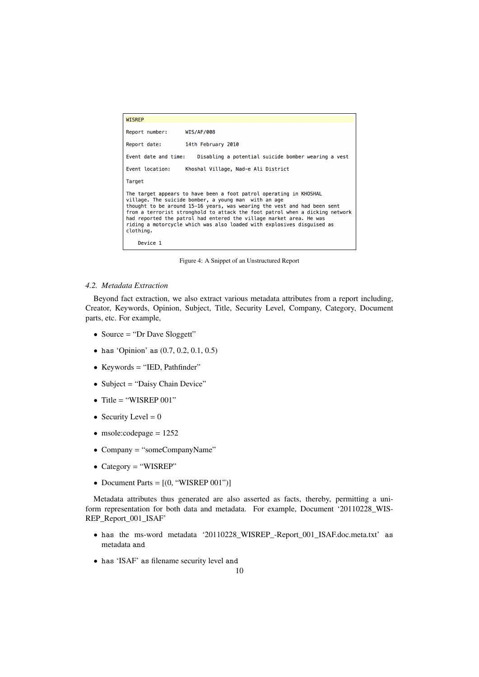```
WISREP
Report number:
                      WIS/AF/008
Report date:
                      14th February 2010
Event date and time:
                          Disabling a potential suicide bomber wearing a vest
Event location:
                      Khoshal Village, Nad-e Ali District
Target
The target appears to have been a foot patrol operating in KHOSHAL
village. The suicide bomber, a young man with an age<br>thought to be around 15-16 years, was wearing the vest and had been sent
from a terrorist stronghold to attack the foot patrol when a dicking network
had reported the patrol had entered the village market area. He was
riding a motorcycle which was also loaded with explosives disguised as
clothing.
    Device 1
```
Figure 4: A Snippet of an Unstructured Report

### *4.2. Metadata Extraction*

Beyond fact extraction, we also extract various metadata attributes from a report including, Creator, Keywords, Opinion, Subject, Title, Security Level, Company, Category, Document parts, etc. For example,

- Source = "Dr Dave Sloggett"
- has 'Opinion' as  $(0.7, 0.2, 0.1, 0.5)$
- Keywords  $=$  "IED, Pathfinder"
- Subject = "Daisy Chain Device"
- Title = "WISREP  $001$ "
- Security Level =  $0$
- msole: $codepage = 1252$
- Company = "someCompanyName"
- Category = "WISREP"
- Document Parts  $= [(0, "WISREF 001")]$

Metadata attributes thus generated are also asserted as facts, thereby, permitting a uniform representation for both data and metadata. For example, Document '20110228\_WIS-REP\_Report\_001\_ISAF'

- has the ms-word metadata '20110228\_WISREP\_-Report\_001\_ISAF.doc.meta.txt' as metadata and
- has 'ISAF' as filename security level and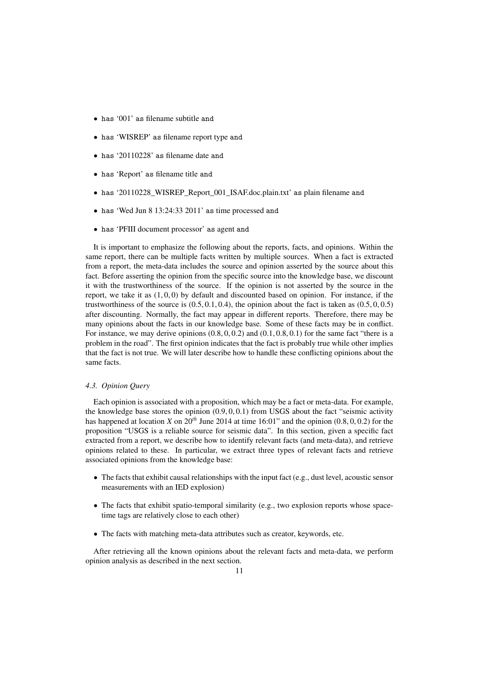- has '001' as filename subtitle and
- has 'WISREP' as filename report type and
- has '20110228' as filename date and
- has 'Report' as filename title and
- has '20110228\_WISREP\_Report\_001\_ISAF.doc.plain.txt' as plain filename and
- has 'Wed Jun 8 13:24:33 2011' as time processed and
- has 'PFIII document processor' as agent and

It is important to emphasize the following about the reports, facts, and opinions. Within the same report, there can be multiple facts written by multiple sources. When a fact is extracted from a report, the meta-data includes the source and opinion asserted by the source about this fact. Before asserting the opinion from the specific source into the knowledge base, we discount it with the trustworthiness of the source. If the opinion is not asserted by the source in the report, we take it as  $(1, 0, 0)$  by default and discounted based on opinion. For instance, if the trustworthiness of the source is  $(0.5, 0.1, 0.4)$ , the opinion about the fact is taken as  $(0.5, 0, 0.5)$ after discounting. Normally, the fact may appear in different reports. Therefore, there may be many opinions about the facts in our knowledge base. Some of these facts may be in conflict. For instance, we may derive opinions  $(0.8, 0, 0.2)$  and  $(0.1, 0.8, 0.1)$  for the same fact "there is a problem in the road". The first opinion indicates that the fact is probably true while other implies that the fact is not true. We will later describe how to handle these conflicting opinions about the same facts.

# *4.3. Opinion Query*

Each opinion is associated with a proposition, which may be a fact or meta-data. For example, the knowledge base stores the opinion  $(0.9, 0, 0.1)$  from USGS about the fact "seismic activity has happened at location *<sup>X</sup>* on 20*th* June 2014 at time 16:01" and the opinion (0.8, <sup>0</sup>, <sup>0</sup>.2) for the proposition "USGS is a reliable source for seismic data". In this section, given a specific fact extracted from a report, we describe how to identify relevant facts (and meta-data), and retrieve opinions related to these. In particular, we extract three types of relevant facts and retrieve associated opinions from the knowledge base:

- The facts that exhibit causal relationships with the input fact (e.g., dust level, acoustic sensor measurements with an IED explosion)
- The facts that exhibit spatio-temporal similarity (e.g., two explosion reports whose spacetime tags are relatively close to each other)
- The facts with matching meta-data attributes such as creator, keywords, etc.

After retrieving all the known opinions about the relevant facts and meta-data, we perform opinion analysis as described in the next section.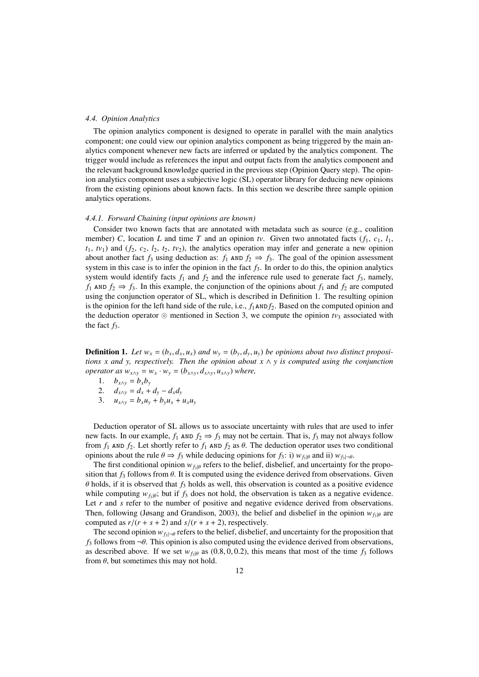# *4.4. Opinion Analytics*

The opinion analytics component is designed to operate in parallel with the main analytics component; one could view our opinion analytics component as being triggered by the main analytics component whenever new facts are inferred or updated by the analytics component. The trigger would include as references the input and output facts from the analytics component and the relevant background knowledge queried in the previous step (Opinion Query step). The opinion analytics component uses a subjective logic (SL) operator library for deducing new opinions from the existing opinions about known facts. In this section we describe three sample opinion analytics operations.

# *4.4.1. Forward Chaining (input opinions are known)*

Consider two known facts that are annotated with metadata such as source (e.g., coalition member) *C*, location *L* and time *T* and an opinion *tv*. Given two annotated facts  $(f_1, c_1, l_1,$  $t_1$ ,  $t_1$ ,  $t_2$  and  $(f_2, c_2, l_2, t_2, t_2)$ , the analytics operation may infer and generate a new opinion about another fact  $f_3$  using deduction as:  $f_1$  and  $f_2 \Rightarrow f_3$ . The goal of the opinion assessment system in this case is to infer the opinion in the fact  $f_3$ . In order to do this, the opinion analytics system would identify facts  $f_1$  and  $f_2$  and the inference rule used to generate fact  $f_3$ , namely, *f*<sub>1</sub> and *f*<sub>2</sub>  $\Rightarrow$  *f*<sub>3</sub>. In this example, the conjunction of the opinions about *f*<sub>1</sub> and *f*<sub>2</sub> are computed using the conjunction operator of SL, which is described in Definition 1. The resulting opinion is the opinion for the left hand side of the rule, i.e.,  $f_1$ AND $f_2$ . Based on the computed opinion and the deduction operator  $\circ$  mentioned in Section 3, we compute the opinion  $t v_3$  associated with the fact  $f_3$ .

**Definition 1.** Let  $w_x = (b_x, d_x, u_x)$  and  $w_y = (b_y, d_y, u_y)$  be opinions about two distinct proposi*tions x and y, respectively. Then the opinion about*  $x \wedge y$  *is computed using the conjunction operator as*  $w_{x \wedge y} = w_x \cdot w_y = (b_{x \wedge y}, d_{x \wedge y}, u_{x \wedge y})$  *where,* 

- 1.  $b_{x \wedge y} = b_x b_y$
- 2.  $d_{x \wedge y} = d_x + d_y d_x d_y$
- 3.  $u_{x \wedge y} = b_x u_y + b_y u_x + u_x u_y$

Deduction operator of SL allows us to associate uncertainty with rules that are used to infer new facts. In our example,  $f_1$  and  $f_2 \Rightarrow f_3$  may not be certain. That is,  $f_3$  may not always follow from  $f_1$  and  $f_2$ . Let shortly refer to  $f_1$  and  $f_2$  as  $\theta$ . The deduction operator uses two conditional opinions about the rule  $\theta \Rightarrow f_3$  while deducing opinions for  $f_3$ : i)  $w_{f_3|\theta}$  and ii)  $w_{f_3|\theta}$ .

The first conditional opinion  $w_{f_3|\theta}$  refers to the belief, disbelief, and uncertainty for the proposition that  $f_3$  follows from  $\theta$ . It is computed using the evidence derived from observations. Given  $\theta$  holds, if it is observed that  $f_3$  holds as well, this observation is counted as a positive evidence while computing  $w_{f_3|\theta}$ ; but if  $f_3$  does not hold, the observation is taken as a negative evidence. Let *r* and *s* refer to the number of positive and negative evidence derived from observations. Then, following (Jøsang and Grandison, 2003), the belief and disbelief in the opinion  $w_{f_3|\theta}$  are computed as  $r/(r + s + 2)$  and  $s/(r + s + 2)$ , respectively.

The second opinion  $w_{f_2|\neg\theta}$  refers to the belief, disbelief, and uncertainty for the proposition that  $f_3$  follows from  $\neg \theta$ . This opinion is also computed using the evidence derived from observations, as described above. If we set  $w_{f_3|\theta}$  as (0.8, 0, 0.2), this means that most of the time  $f_3$  follows from  $\theta$ , but sometimes this may not hold.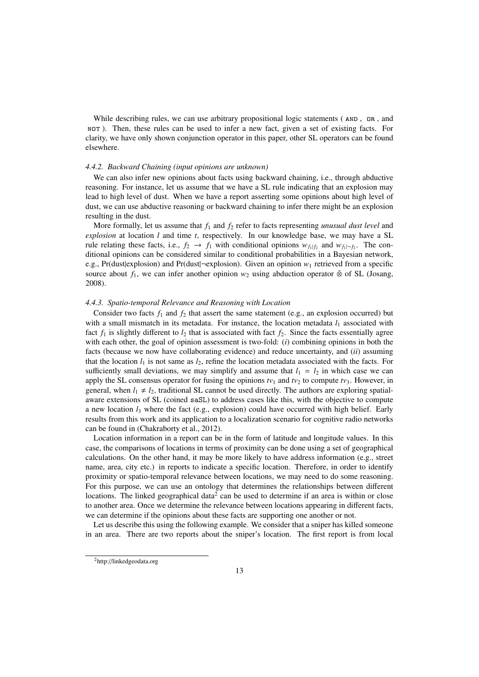While describing rules, we can use arbitrary propositional logic statements (AND, OR, and not ). Then, these rules can be used to infer a new fact, given a set of existing facts. For clarity, we have only shown conjunction operator in this paper, other SL operators can be found elsewhere.

#### *4.4.2. Backward Chaining (input opinions are unknown)*

We can also infer new opinions about facts using backward chaining, i.e., through abductive reasoning. For instance, let us assume that we have a SL rule indicating that an explosion may lead to high level of dust. When we have a report asserting some opinions about high level of dust, we can use abductive reasoning or backward chaining to infer there might be an explosion resulting in the dust.

More formally, let us assume that *f*<sup>1</sup> and *f*<sup>2</sup> refer to facts representing *unusual dust level* and *explosion* at location *l* and time *t*, respectively. In our knowledge base, we may have a SL rule relating these facts, i.e.,  $f_2 \rightarrow f_1$  with conditional opinions  $w_{f_1|f_2}$  and  $w_{f_1|\neg f_2}$ . The conditional opinions can be considered similar to conditional probabilities in a Bayesian network, e.g., Pr(dust|explosion) and Pr(dust|¬explosion). Given an opinion *w*<sup>1</sup> retrieved from a specific source about  $f_1$ , we can infer another opinion  $w_2$  using abduction operator  $\bar{\otimes}$  of SL (Josang, 2008).

#### *4.4.3. Spatio-temporal Relevance and Reasoning with Location*

Consider two facts  $f_1$  and  $f_2$  that assert the same statement (e.g., an explosion occurred) but with a small mismatch in its metadata. For instance, the location metadata  $l_1$  associated with fact  $f_1$  is slightly different to  $l_2$  that is associated with fact  $f_2$ . Since the facts essentially agree with each other, the goal of opinion assessment is two-fold: (*i*) combining opinions in both the facts (because we now have collaborating evidence) and reduce uncertainty, and (*ii*) assuming that the location  $l_1$  is not same as  $l_2$ , refine the location metadata associated with the facts. For sufficiently small deviations, we may simplify and assume that  $l_1 = l_2$  in which case we can apply the SL consensus operator for fusing the opinions  $tv_1$  and  $tv_2$  to compute  $tv_3$ . However, in general, when  $l_1 \neq l_2$ , traditional SL cannot be used directly. The authors are exploring spatialaware extensions of SL (coined saSL) to address cases like this, with the objective to compute a new location  $l_3$  where the fact (e.g., explosion) could have occurred with high belief. Early results from this work and its application to a localization scenario for cognitive radio networks can be found in (Chakraborty et al., 2012).

Location information in a report can be in the form of latitude and longitude values. In this case, the comparisons of locations in terms of proximity can be done using a set of geographical calculations. On the other hand, it may be more likely to have address information (e.g., street name, area, city etc.) in reports to indicate a specific location. Therefore, in order to identify proximity or spatio-temporal relevance between locations, we may need to do some reasoning. For this purpose, we can use an ontology that determines the relationships between different locations. The linked geographical data<sup>2</sup> can be used to determine if an area is within or close to another area. Once we determine the relevance between locations appearing in different facts, we can determine if the opinions about these facts are supporting one another or not.

Let us describe this using the following example. We consider that a sniper has killed someone in an area. There are two reports about the sniper's location. The first report is from local

<sup>2</sup>http://linkedgeodata.org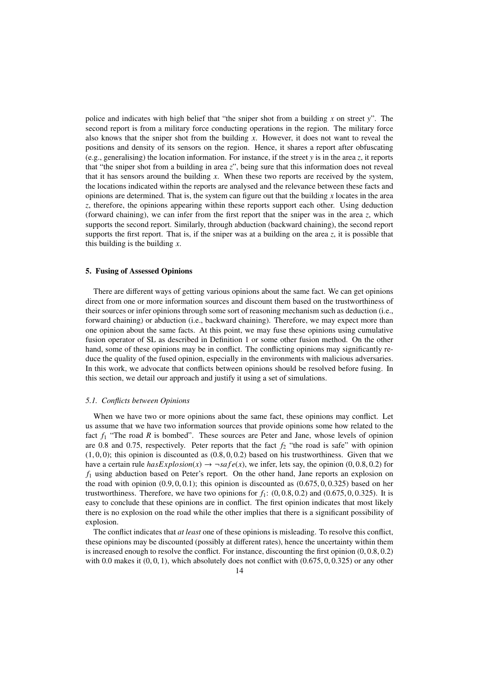police and indicates with high belief that "the sniper shot from a building *x* on street *y*". The second report is from a military force conducting operations in the region. The military force also knows that the sniper shot from the building *x*. However, it does not want to reveal the positions and density of its sensors on the region. Hence, it shares a report after obfuscating (e.g., generalising) the location information. For instance, if the street *y* is in the area *z*, it reports that "the sniper shot from a building in area *z*", being sure that this information does not reveal that it has sensors around the building *x*. When these two reports are received by the system, the locations indicated within the reports are analysed and the relevance between these facts and opinions are determined. That is, the system can figure out that the building *x* locates in the area *z*, therefore, the opinions appearing within these reports support each other. Using deduction (forward chaining), we can infer from the first report that the sniper was in the area *z*, which supports the second report. Similarly, through abduction (backward chaining), the second report supports the first report. That is, if the sniper was at a building on the area  $z$ , it is possible that this building is the building *x*.

# 5. Fusing of Assessed Opinions

There are different ways of getting various opinions about the same fact. We can get opinions direct from one or more information sources and discount them based on the trustworthiness of their sources or infer opinions through some sort of reasoning mechanism such as deduction (i.e., forward chaining) or abduction (i.e., backward chaining). Therefore, we may expect more than one opinion about the same facts. At this point, we may fuse these opinions using cumulative fusion operator of SL as described in Definition 1 or some other fusion method. On the other hand, some of these opinions may be in conflict. The conflicting opinions may significantly reduce the quality of the fused opinion, especially in the environments with malicious adversaries. In this work, we advocate that conflicts between opinions should be resolved before fusing. In this section, we detail our approach and justify it using a set of simulations.

# *5.1. Conflicts between Opinions*

When we have two or more opinions about the same fact, these opinions may conflict. Let us assume that we have two information sources that provide opinions some how related to the fact *f*<sup>1</sup> "The road *R* is bombed". These sources are Peter and Jane, whose levels of opinion are 0.8 and 0.75, respectively. Peter reports that the fact  $f_2$  "the road is safe" with opinion  $(1, 0, 0)$ ; this opinion is discounted as  $(0.8, 0, 0.2)$  based on his trustworthiness. Given that we have a certain rule  $hasExplosion(x) \rightarrow \neg safe(x)$ , we infer, lets say, the opinion (0, 0.8, 0.2) for *f*<sup>1</sup> using abduction based on Peter's report. On the other hand, Jane reports an explosion on the road with opinion  $(0.9, 0, 0.1)$ ; this opinion is discounted as  $(0.675, 0, 0.325)$  based on her trustworthiness. Therefore, we have two opinions for  $f_1$ :  $(0, 0.8, 0.2)$  and  $(0.675, 0, 0.325)$ . It is easy to conclude that these opinions are in conflict. The first opinion indicates that most likely there is no explosion on the road while the other implies that there is a significant possibility of explosion.

The conflict indicates that *at least* one of these opinions is misleading. To resolve this conflict, these opinions may be discounted (possibly at different rates), hence the uncertainty within them is increased enough to resolve the conflict. For instance, discounting the first opinion  $(0, 0.8, 0.2)$ with 0.0 makes it  $(0, 0, 1)$ , which absolutely does not conflict with  $(0.675, 0, 0.325)$  or any other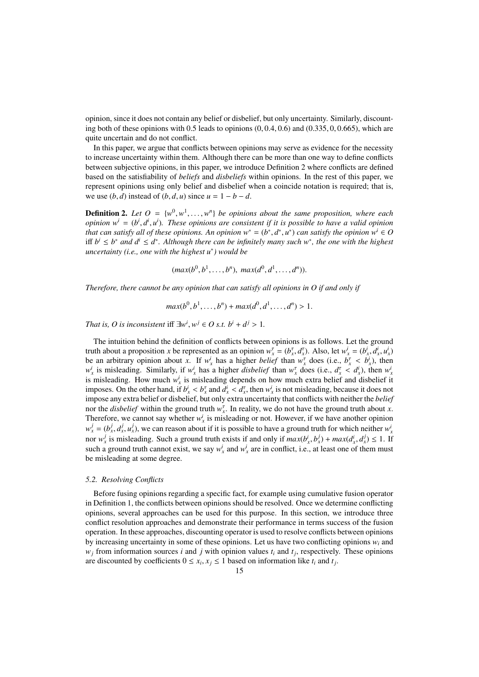opinion, since it does not contain any belief or disbelief, but only uncertainty. Similarly, discounting both of these opinions with 0.5 leads to opinions  $(0, 0.4, 0.6)$  and  $(0.335, 0, 0.665)$ , which are quite uncertain and do not conflict.

In this paper, we argue that conflicts between opinions may serve as evidence for the necessity to increase uncertainty within them. Although there can be more than one way to define conflicts between subjective opinions, in this paper, we introduce Definition 2 where conflicts are defined based on the satisfiability of *beliefs* and *disbeliefs* within opinions. In the rest of this paper, we represent opinions using only belief and disbelief when a coincide notation is required; that is, we use  $(b, d)$  instead of  $(b, d, u)$  since  $u = 1 - b - d$ .

**Definition 2.** Let  $O = \{w^0, w^1, \ldots, w^n\}$  be opinions about the same proposition, where each opinion  $w^i = (b^i, d^i, u^i)$ . These opinions are consistent if it is possible to have a valid opinion *opinion*  $w^i = (b^i, d^i, u^i)$ . These opinions are consistent if it is possible to have a valid opinion<br>that can satisfy all of these opinions. An opinion  $w^* = (b^* d^* u^*)$  can satisfy the opinion  $w^i \in \Omega$ *that can satisfy all of these opinions. An opinion*  $w^* = (b^*, d^*, u^*)$  *can satisfy the opinion*  $w^i \in O$ *<br>iff*  $b^i < b^*$  *and*  $d^i < d^*$ *. Although there can be infinitely many such*  $w^*$ *, the one with the highest* iff *b <sup>i</sup>* ≤ *b* <sup>∗</sup> *and d<sup>i</sup>* ≤ *d* ∗ *. Although there can be infinitely many such w*<sup>∗</sup> *, the one with the highest uncertainty (i.e., one with the highest u*<sup>∗</sup> *) would be*

 $(max(b^0, b^1, \ldots, b^n), max(d^0, d^1, \ldots, d^n)).$ 

*Therefore, there cannot be any opinion that can satisfy all opinions in O if and only if*

 $max(b^0, b^1, \ldots, b^n) + max(d^0, d^1, \ldots, d^n) > 1.$ 

*That is, O is inconsistent* iff  $\exists w^i, w^j \in O \text{ s.t. } b^i + d^j > 1$ .

The intuition behind the definition of conflicts between opinions is as follows. Let the ground truth about a proposition x be represented as an opinion  $w_x^T = (b_x^T, d_x^T)$ . Also, let  $w_x^i = (b_x^i, d_x^i, u_x^i)$ <br>be an arbitrary opinion about x. If  $w^i$  has a higher helief than  $w^T$  does (i.e.  $b^T < b^i$ ), then be an arbitrary opinion about *x*. If  $w_x^i$  has a higher *belief* than  $w_x^{\tau}$  does (i.e.,  $b_x^{\tau} < b_x^{\tau}$ ), then  $w_y^i$  is misleading. Similarly if  $w^i$  has a higher *dishelief* than  $w^{\tau}$  does (i.e.,  $d^{\tau} < d^{\tau}$ )  $w_x^i$  is misleading. Similarly, if  $w_x^i$  has a higher *disbelief* than  $w_x^{\tau}$  does (i.e.,  $d_x^{\tau} < d_x^i$ ), then  $w_x^i$  is misleading the misleading depends on how much extra belief and disbelief it is misleading. How much  $w_x^i$  is misleading depends on how much extra belief and disbelief it imposes. On the other hand, if  $b_x^i < b_x^{\tau}$  and  $d_x^i < d_x^{\tau}$ , then  $w_x^i$  is not misleading, because it does not<br>impose any extra belief or disbelief but only extra uncertainty that conflicts with neither the *heliet* impose any extra belief or disbelief, but only extra uncertainty that conflicts with neither the *belief* nor the *disbelief* within the ground truth  $w_x^{\tau}$ . In reality, we do not have the ground truth about *x*. Therefore, we cannot say whether  $w_x^i$  is misleading or not. However, if we have another opinion  $w_x^j = (b_x^j, d_x^j, u_x^j)$ , we can reason about if it is possible to have a ground truth for which neither  $w_x^i$ <br>por  $w_y^j$  is mislaggling. Such a ground truth oxists if and only if  $max(b_x^j, b_y^j) + max(d_y^j, d_y^j) \ge 1$ . If nor  $w_x^j$  is misleading. Such a ground truth exists if and only if  $max(b_x^j, b_x^j) + max(d_x^j, d_x^j) \le 1$ . If such a ground truth cannot exist, we say  $w_x^i$  and  $w_x^i$  are in conflict, i.e., at least one of them must be misleading at some degree.

# *5.2. Resolving Conflicts*

Before fusing opinions regarding a specific fact, for example using cumulative fusion operator in Definition 1, the conflicts between opinions should be resolved. Once we determine conflicting opinions, several approaches can be used for this purpose. In this section, we introduce three conflict resolution approaches and demonstrate their performance in terms success of the fusion operation. In these approaches, discounting operator is used to resolve conflicts between opinions by increasing uncertainty in some of these opinions. Let us have two conflicting opinions *w<sup>i</sup>* and  $w_j$  from information sources *i* and *j* with opinion values  $t_i$  and  $t_j$ , respectively. These opinions are discounted by coefficients  $0 \le x_i, x_j \le 1$  based on information like  $t_i$  and  $t_j$ .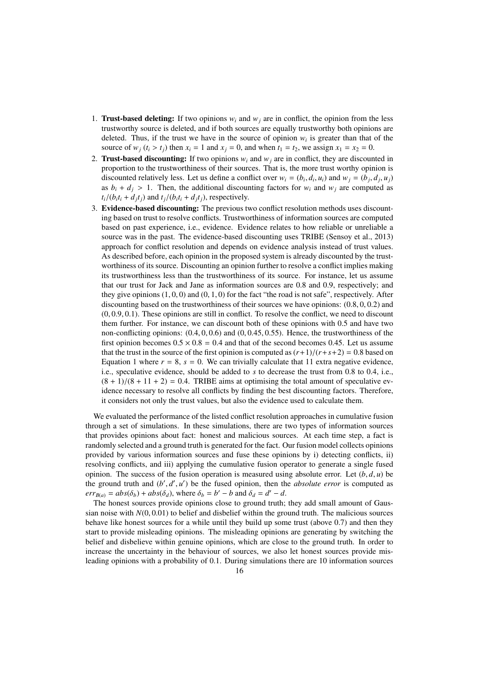- 1. Trust-based deleting: If two opinions  $w_i$  and  $w_j$  are in conflict, the opinion from the less trustworthy source is deleted, and if both sources are equally trustworthy both opinions are deleted. Thus, if the trust we have in the source of opinion  $w_i$  is greater than that of the source of  $w_i$  ( $t_i > t_j$ ) then  $x_i = 1$  and  $x_j = 0$ , and when  $t_1 = t_2$ , we assign  $x_1 = x_2 = 0$ .
- 2. Trust-based discounting: If two opinions  $w_i$  and  $w_j$  are in conflict, they are discounted in proportion to the trustworthiness of their sources. That is, the more trust worthy opinion is discounted relatively less. Let us define a conflict over  $w_i = (b_i, d_i, u_i)$  and  $w_j = (b_j, d_j, u_j)$ <br>as  $b_i + d_j > 1$ . Then, the additional discounting factors for  $w_i$  and  $w_j$  are computed as as  $b_i + d_j > 1$ . Then, the additional discounting factors for  $w_i$  and  $w_j$  are computed as  $t_i/(b_it_i + d_jt_j)$  and  $t_j/(b_it_i + d_jt_j)$ , respectively.
- 3. Evidence-based discounting: The previous two conflict resolution methods uses discounting based on trust to resolve conflicts. Trustworthiness of information sources are computed based on past experience, i.e., evidence. Evidence relates to how reliable or unreliable a source was in the past. The evidence-based discounting uses TRIBE (Sensoy et al., 2013) approach for conflict resolution and depends on evidence analysis instead of trust values. As described before, each opinion in the proposed system is already discounted by the trustworthiness of its source. Discounting an opinion further to resolve a conflict implies making its trustworthiness less than the trustworthiness of its source. For instance, let us assume that our trust for Jack and Jane as information sources are 0.8 and 0.9, respectively; and they give opinions  $(1, 0, 0)$  and  $(0, 1, 0)$  for the fact "the road is not safe", respectively. After discounting based on the trustworthiness of their sources we have opinions: (0.8, <sup>0</sup>, <sup>0</sup>.2) and (0, <sup>0</sup>.9, <sup>0</sup>.1). These opinions are still in conflict. To resolve the conflict, we need to discount them further. For instance, we can discount both of these opinions with 0.5 and have two non-conflicting opinions:  $(0.4, 0, 0.6)$  and  $(0, 0.45, 0.55)$ . Hence, the trustworthiness of the first opinion becomes  $0.5 \times 0.8 = 0.4$  and that of the second becomes 0.45. Let us assume that the trust in the source of the first opinion is computed as  $(r+1)/(r+s+2) = 0.8$  based on Equation 1 where  $r = 8$ ,  $s = 0$ . We can trivially calculate that 11 extra negative evidence, i.e., speculative evidence, should be added to *<sup>s</sup>* to decrease the trust from 0.8 to 0.4, i.e.,  $(8 + 1)/(8 + 11 + 2) = 0.4$ . TRIBE aims at optimising the total amount of speculative evidence necessary to resolve all conflicts by finding the best discounting factors. Therefore, it considers not only the trust values, but also the evidence used to calculate them.

We evaluated the performance of the listed conflict resolution approaches in cumulative fusion through a set of simulations. In these simulations, there are two types of information sources that provides opinions about fact: honest and malicious sources. At each time step, a fact is randomly selected and a ground truth is generated for the fact. Our fusion model collects opinions provided by various information sources and fuse these opinions by i) detecting conflicts, ii) resolving conflicts, and iii) applying the cumulative fusion operator to generate a single fused opinion. The success of the fusion operation is measured using absolute error. Let  $(b, d, u)$  be the ground truth and  $(b', d', u')$  be the fused opinion, then the *absolute error* is computed as  $err_{B(a)} = abs(\delta_b) + abs(\delta_d)$ , where  $\delta_b = b' - b$  and  $\delta_d = d' - d$ .<br>The honest sources provide opinions close to ground truth:

The honest sources provide opinions close to ground truth; they add small amount of Gaussian noise with *<sup>N</sup>*(0, <sup>0</sup>.01) to belief and disbelief within the ground truth. The malicious sources behave like honest sources for a while until they build up some trust (above 0.7) and then they start to provide misleading opinions. The misleading opinions are generating by switching the belief and disbelieve within genuine opinions, which are close to the ground truth. In order to increase the uncertainty in the behaviour of sources, we also let honest sources provide misleading opinions with a probability of 0.1. During simulations there are 10 information sources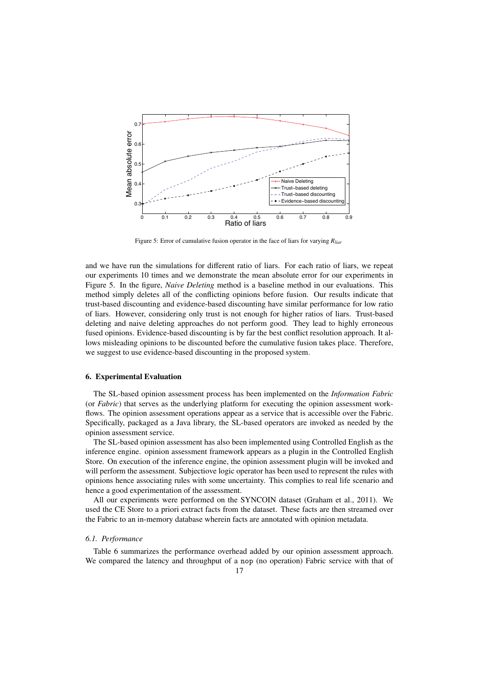

Figure 5: Error of cumulative fusion operator in the face of liars for varying *Rliar*

and we have run the simulations for different ratio of liars. For each ratio of liars, we repeat our experiments 10 times and we demonstrate the mean absolute error for our experiments in Figure 5. In the figure, *Naive Deleting* method is a baseline method in our evaluations. This method simply deletes all of the conflicting opinions before fusion. Our results indicate that trust-based discounting and evidence-based discounting have similar performance for low ratio of liars. However, considering only trust is not enough for higher ratios of liars. Trust-based deleting and naive deleting approaches do not perform good. They lead to highly erroneous fused opinions. Evidence-based discounting is by far the best conflict resolution approach. It allows misleading opinions to be discounted before the cumulative fusion takes place. Therefore, we suggest to use evidence-based discounting in the proposed system.

#### 6. Experimental Evaluation

The SL-based opinion assessment process has been implemented on the *Information Fabric* (or *Fabric*) that serves as the underlying platform for executing the opinion assessment workflows. The opinion assessment operations appear as a service that is accessible over the Fabric. Specifically, packaged as a Java library, the SL-based operators are invoked as needed by the opinion assessment service.

The SL-based opinion assessment has also been implemented using Controlled English as the inference engine. opinion assessment framework appears as a plugin in the Controlled English Store. On execution of the inference engine, the opinion assessment plugin will be invoked and will perform the assessment. Subjectiove logic operator has been used to represent the rules with opinions hence associating rules with some uncertainty. This complies to real life scenario and hence a good experimentation of the assessment.

All our experiments were performed on the SYNCOIN dataset (Graham et al., 2011). We used the CE Store to a priori extract facts from the dataset. These facts are then streamed over the Fabric to an in-memory database wherein facts are annotated with opinion metadata.

#### *6.1. Performance*

Table 6 summarizes the performance overhead added by our opinion assessment approach. We compared the latency and throughput of a nop (no operation) Fabric service with that of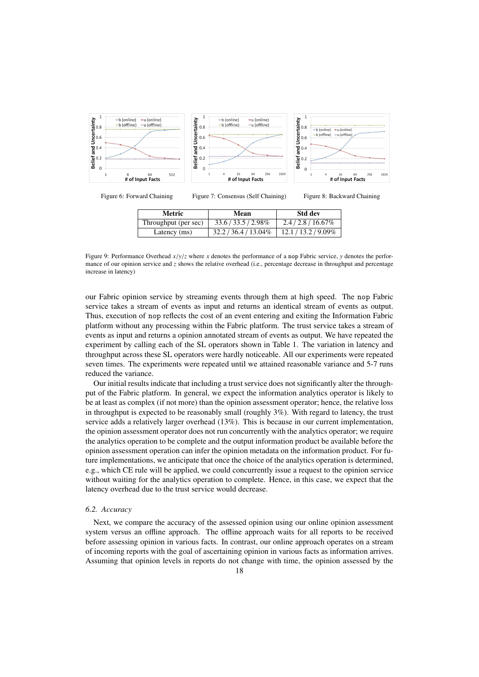

| Metric               | Mean                    | Std dev                |
|----------------------|-------------------------|------------------------|
| Throughput (per sec) | $33.6 / 33.5 / 2.98\%$  | 2.4/2.8/16.67%         |
| Latency (ms)         | $32.2 / 36.4 / 13.04\%$ | $12.1 / 13.2 / 9.09\%$ |

Figure 9: Performance Overhead *<sup>x</sup>*/*y*/*<sup>z</sup>* where *<sup>x</sup>* denotes the performance of a nop Fabric service, *<sup>y</sup>* denotes the performance of our opinion service and *z* shows the relative overhead (i.e., percentage decrease in throughput and percentage increase in latency)

our Fabric opinion service by streaming events through them at high speed. The nop Fabric service takes a stream of events as input and returns an identical stream of events as output. Thus, execution of nop reflects the cost of an event entering and exiting the Information Fabric platform without any processing within the Fabric platform. The trust service takes a stream of events as input and returns a opinion annotated stream of events as output. We have repeated the experiment by calling each of the SL operators shown in Table 1. The variation in latency and throughput across these SL operators were hardly noticeable. All our experiments were repeated seven times. The experiments were repeated until we attained reasonable variance and 5-7 runs reduced the variance.

Our initial results indicate that including a trust service does not significantly alter the throughput of the Fabric platform. In general, we expect the information analytics operator is likely to be at least as complex (if not more) than the opinion assessment operator; hence, the relative loss in throughput is expected to be reasonably small (roughly 3%). With regard to latency, the trust service adds a relatively larger overhead (13%). This is because in our current implementation, the opinion assessment operator does not run concurrently with the analytics operator; we require the analytics operation to be complete and the output information product be available before the opinion assessment operation can infer the opinion metadata on the information product. For future implementations, we anticipate that once the choice of the analytics operation is determined, e.g., which CE rule will be applied, we could concurrently issue a request to the opinion service without waiting for the analytics operation to complete. Hence, in this case, we expect that the latency overhead due to the trust service would decrease.

#### *6.2. Accuracy*

Next, we compare the accuracy of the assessed opinion using our online opinion assessment system versus an offline approach. The offline approach waits for all reports to be received before assessing opinion in various facts. In contrast, our online approach operates on a stream of incoming reports with the goal of ascertaining opinion in various facts as information arrives. Assuming that opinion levels in reports do not change with time, the opinion assessed by the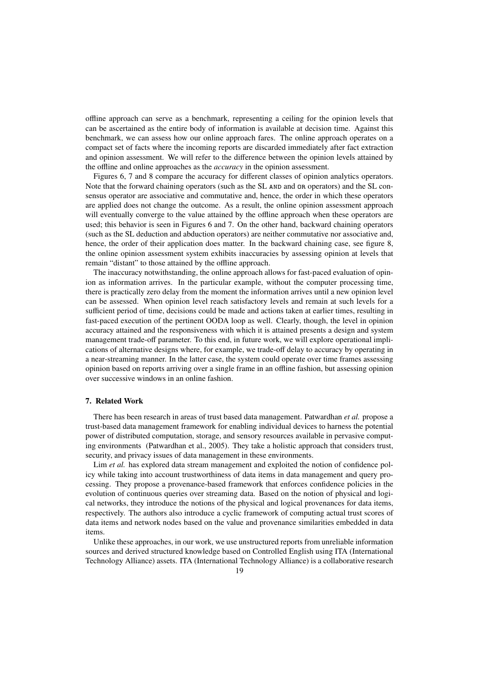offline approach can serve as a benchmark, representing a ceiling for the opinion levels that can be ascertained as the entire body of information is available at decision time. Against this benchmark, we can assess how our online approach fares. The online approach operates on a compact set of facts where the incoming reports are discarded immediately after fact extraction and opinion assessment. We will refer to the difference between the opinion levels attained by the offline and online approaches as the *accuracy* in the opinion assessment.

Figures 6, 7 and 8 compare the accuracy for different classes of opinion analytics operators. Note that the forward chaining operators (such as the SL AND and  $OR$  operators) and the SL consensus operator are associative and commutative and, hence, the order in which these operators are applied does not change the outcome. As a result, the online opinion assessment approach will eventually converge to the value attained by the offline approach when these operators are used; this behavior is seen in Figures 6 and 7. On the other hand, backward chaining operators (such as the SL deduction and abduction operators) are neither commutative nor associative and, hence, the order of their application does matter. In the backward chaining case, see figure 8, the online opinion assessment system exhibits inaccuracies by assessing opinion at levels that remain "distant" to those attained by the offline approach.

The inaccuracy notwithstanding, the online approach allows for fast-paced evaluation of opinion as information arrives. In the particular example, without the computer processing time, there is practically zero delay from the moment the information arrives until a new opinion level can be assessed. When opinion level reach satisfactory levels and remain at such levels for a sufficient period of time, decisions could be made and actions taken at earlier times, resulting in fast-paced execution of the pertinent OODA loop as well. Clearly, though, the level in opinion accuracy attained and the responsiveness with which it is attained presents a design and system management trade-off parameter. To this end, in future work, we will explore operational implications of alternative designs where, for example, we trade-off delay to accuracy by operating in a near-streaming manner. In the latter case, the system could operate over time frames assessing opinion based on reports arriving over a single frame in an offline fashion, but assessing opinion over successive windows in an online fashion.

#### 7. Related Work

There has been research in areas of trust based data management. Patwardhan *et al.* propose a trust-based data management framework for enabling individual devices to harness the potential power of distributed computation, storage, and sensory resources available in pervasive computing environments (Patwardhan et al., 2005). They take a holistic approach that considers trust, security, and privacy issues of data management in these environments.

Lim *et al.* has explored data stream management and exploited the notion of confidence policy while taking into account trustworthiness of data items in data management and query processing. They propose a provenance-based framework that enforces confidence policies in the evolution of continuous queries over streaming data. Based on the notion of physical and logical networks, they introduce the notions of the physical and logical provenances for data items, respectively. The authors also introduce a cyclic framework of computing actual trust scores of data items and network nodes based on the value and provenance similarities embedded in data items.

Unlike these approaches, in our work, we use unstructured reports from unreliable information sources and derived structured knowledge based on Controlled English using ITA (International Technology Alliance) assets. ITA (International Technology Alliance) is a collaborative research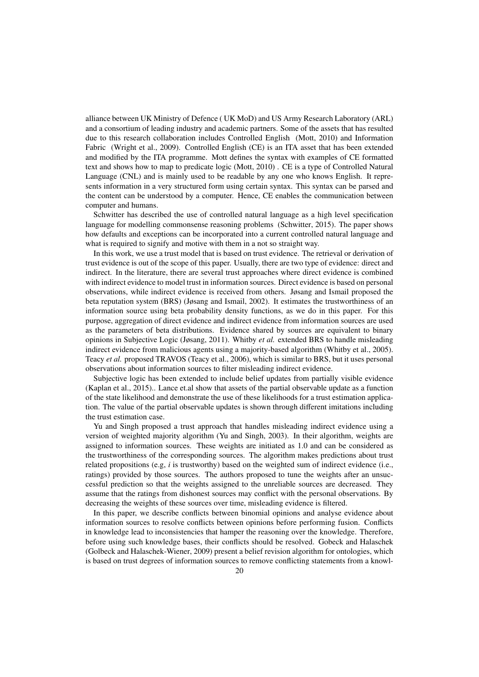alliance between UK Ministry of Defence ( UK MoD) and US Army Research Laboratory (ARL) and a consortium of leading industry and academic partners. Some of the assets that has resulted due to this research collaboration includes Controlled English (Mott, 2010) and Information Fabric (Wright et al., 2009). Controlled English (CE) is an ITA asset that has been extended and modified by the ITA programme. Mott defines the syntax with examples of CE formatted text and shows how to map to predicate logic (Mott, 2010) . CE is a type of Controlled Natural Language (CNL) and is mainly used to be readable by any one who knows English. It represents information in a very structured form using certain syntax. This syntax can be parsed and the content can be understood by a computer. Hence, CE enables the communication between computer and humans.

Schwitter has described the use of controlled natural language as a high level specification language for modelling commonsense reasoning problems (Schwitter, 2015). The paper shows how defaults and exceptions can be incorporated into a current controlled natural language and what is required to signify and motive with them in a not so straight way.

In this work, we use a trust model that is based on trust evidence. The retrieval or derivation of trust evidence is out of the scope of this paper. Usually, there are two type of evidence: direct and indirect. In the literature, there are several trust approaches where direct evidence is combined with indirect evidence to model trust in information sources. Direct evidence is based on personal observations, while indirect evidence is received from others. Jøsang and Ismail proposed the beta reputation system (BRS) (Jøsang and Ismail, 2002). It estimates the trustworthiness of an information source using beta probability density functions, as we do in this paper. For this purpose, aggregation of direct evidence and indirect evidence from information sources are used as the parameters of beta distributions. Evidence shared by sources are equivalent to binary opinions in Subjective Logic (Jøsang, 2011). Whitby *et al.* extended BRS to handle misleading indirect evidence from malicious agents using a majority-based algorithm (Whitby et al., 2005). Teacy *et al.* proposed TRAVOS (Teacy et al., 2006), which is similar to BRS, but it uses personal observations about information sources to filter misleading indirect evidence.

Subjective logic has been extended to include belief updates from partially visible evidence (Kaplan et al., 2015).. Lance et.al show that assets of the partial observable update as a function of the state likelihood and demonstrate the use of these likelihoods for a trust estimation application. The value of the partial observable updates is shown through different imitations including the trust estimation case.

Yu and Singh proposed a trust approach that handles misleading indirect evidence using a version of weighted majority algorithm (Yu and Singh, 2003). In their algorithm, weights are assigned to information sources. These weights are initiated as 1.0 and can be considered as the trustworthiness of the corresponding sources. The algorithm makes predictions about trust related propositions (e.g, *i* is trustworthy) based on the weighted sum of indirect evidence (i.e., ratings) provided by those sources. The authors proposed to tune the weights after an unsuccessful prediction so that the weights assigned to the unreliable sources are decreased. They assume that the ratings from dishonest sources may conflict with the personal observations. By decreasing the weights of these sources over time, misleading evidence is filtered.

In this paper, we describe conflicts between binomial opinions and analyse evidence about information sources to resolve conflicts between opinions before performing fusion. Conflicts in knowledge lead to inconsistencies that hamper the reasoning over the knowledge. Therefore, before using such knowledge bases, their conflicts should be resolved. Gobeck and Halaschek (Golbeck and Halaschek-Wiener, 2009) present a belief revision algorithm for ontologies, which is based on trust degrees of information sources to remove conflicting statements from a knowl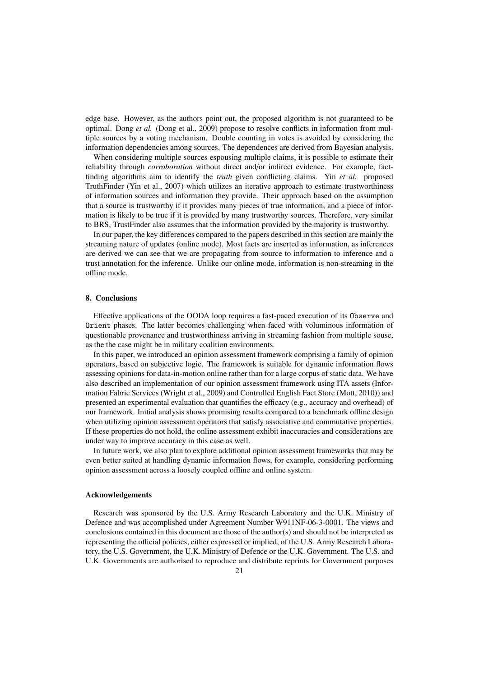edge base. However, as the authors point out, the proposed algorithm is not guaranteed to be optimal. Dong *et al.* (Dong et al., 2009) propose to resolve conflicts in information from multiple sources by a voting mechanism. Double counting in votes is avoided by considering the information dependencies among sources. The dependences are derived from Bayesian analysis.

When considering multiple sources espousing multiple claims, it is possible to estimate their reliability through *corroboration* without direct and/or indirect evidence. For example, factfinding algorithms aim to identify the *truth* given conflicting claims. Yin *et al.* proposed TruthFinder (Yin et al., 2007) which utilizes an iterative approach to estimate trustworthiness of information sources and information they provide. Their approach based on the assumption that a source is trustworthy if it provides many pieces of true information, and a piece of information is likely to be true if it is provided by many trustworthy sources. Therefore, very similar to BRS, TrustFinder also assumes that the information provided by the majority is trustworthy.

In our paper, the key differences compared to the papers described in this section are mainly the streaming nature of updates (online mode). Most facts are inserted as information, as inferences are derived we can see that we are propagating from source to information to inference and a trust annotation for the inference. Unlike our online mode, information is non-streaming in the offline mode.

# 8. Conclusions

Effective applications of the OODA loop requires a fast-paced execution of its Observe and Orient phases. The latter becomes challenging when faced with voluminous information of questionable provenance and trustworthiness arriving in streaming fashion from multiple souse, as the the case might be in military coalition environments.

In this paper, we introduced an opinion assessment framework comprising a family of opinion operators, based on subjective logic. The framework is suitable for dynamic information flows assessing opinions for data-in-motion online rather than for a large corpus of static data. We have also described an implementation of our opinion assessment framework using ITA assets (Information Fabric Services (Wright et al., 2009) and Controlled English Fact Store (Mott, 2010)) and presented an experimental evaluation that quantifies the efficacy (e.g., accuracy and overhead) of our framework. Initial analysis shows promising results compared to a benchmark offline design when utilizing opinion assessment operators that satisfy associative and commutative properties. If these properties do not hold, the online assessment exhibit inaccuracies and considerations are under way to improve accuracy in this case as well.

In future work, we also plan to explore additional opinion assessment frameworks that may be even better suited at handling dynamic information flows, for example, considering performing opinion assessment across a loosely coupled offline and online system.

# Acknowledgements

Research was sponsored by the U.S. Army Research Laboratory and the U.K. Ministry of Defence and was accomplished under Agreement Number W911NF-06-3-0001. The views and conclusions contained in this document are those of the author(s) and should not be interpreted as representing the official policies, either expressed or implied, of the U.S. Army Research Laboratory, the U.S. Government, the U.K. Ministry of Defence or the U.K. Government. The U.S. and U.K. Governments are authorised to reproduce and distribute reprints for Government purposes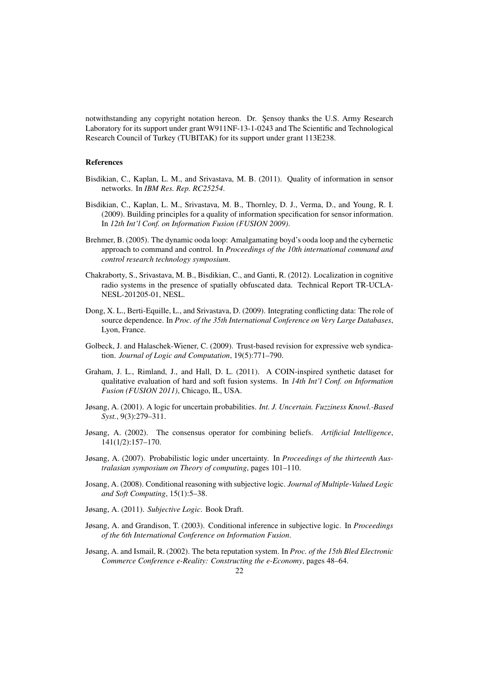notwithstanding any copyright notation hereon. Dr. Sensoy thanks the U.S. Army Research Laboratory for its support under grant W911NF-13-1-0243 and The Scientific and Technological Research Council of Turkey (TUBITAK) for its support under grant 113E238.

# References

- Bisdikian, C., Kaplan, L. M., and Srivastava, M. B. (2011). Quality of information in sensor networks. In *IBM Res. Rep. RC25254*.
- Bisdikian, C., Kaplan, L. M., Srivastava, M. B., Thornley, D. J., Verma, D., and Young, R. I. (2009). Building principles for a quality of information specification for sensor information. In *12th Int'l Conf. on Information Fusion (FUSION 2009)*.
- Brehmer, B. (2005). The dynamic ooda loop: Amalgamating boyd's ooda loop and the cybernetic approach to command and control. In *Proceedings of the 10th international command and control research technology symposium*.
- Chakraborty, S., Srivastava, M. B., Bisdikian, C., and Ganti, R. (2012). Localization in cognitive radio systems in the presence of spatially obfuscated data. Technical Report TR-UCLA-NESL-201205-01, NESL.
- Dong, X. L., Berti-Equille, L., and Srivastava, D. (2009). Integrating conflicting data: The role of source dependence. In *Proc. of the 35th International Conference on Very Large Databases*, Lyon, France.
- Golbeck, J. and Halaschek-Wiener, C. (2009). Trust-based revision for expressive web syndication. *Journal of Logic and Computation*, 19(5):771–790.
- Graham, J. L., Rimland, J., and Hall, D. L. (2011). A COIN-inspired synthetic dataset for qualitative evaluation of hard and soft fusion systems. In *14th Int'l Conf. on Information Fusion (FUSION 2011)*, Chicago, IL, USA.
- Jøsang, A. (2001). A logic for uncertain probabilities. *Int. J. Uncertain. Fuzziness Knowl.-Based Syst.*, 9(3):279–311.
- Jøsang, A. (2002). The consensus operator for combining beliefs. *Artificial Intelligence*, 141(1/2):157–170.
- Jøsang, A. (2007). Probabilistic logic under uncertainty. In *Proceedings of the thirteenth Australasian symposium on Theory of computing*, pages 101–110.
- Josang, A. (2008). Conditional reasoning with subjective logic. *Journal of Multiple-Valued Logic and Soft Computing*, 15(1):5–38.
- Jøsang, A. (2011). *Subjective Logic*. Book Draft.
- Jøsang, A. and Grandison, T. (2003). Conditional inference in subjective logic. In *Proceedings of the 6th International Conference on Information Fusion*.
- Jøsang, A. and Ismail, R. (2002). The beta reputation system. In *Proc. of the 15th Bled Electronic Commerce Conference e-Reality: Constructing the e-Economy*, pages 48–64.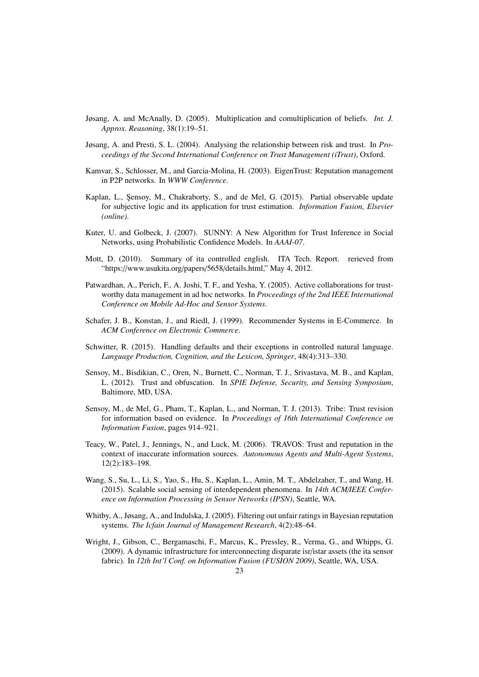- Jøsang, A. and McAnally, D. (2005). Multiplication and comultiplication of beliefs. *Int. J. Approx. Reasoning*, 38(1):19–51.
- Jøsang, A. and Presti, S. L. (2004). Analysing the relationship between risk and trust. In *Proceedings of the Second International Conference on Trust Management (iTrust)*, Oxford.
- Kamvar, S., Schlosser, M., and Garcia-Molina, H. (2003). EigenTrust: Reputation management in P2P networks. In *WWW Conference*.
- Kaplan, L., Şensoy, M., Chakraborty, S., and de Mel, G. (2015). Partial observable update for subjective logic and its application for trust estimation. *Information Fusion, Elsevier (online)*.
- Kuter, U. and Golbeck, J. (2007). SUNNY: A New Algorithm for Trust Inference in Social Networks, using Probabilistic Confidence Models. In *AAAI-07*.
- Mott, D. (2010). Summary of ita controlled english. ITA Tech. Report. rerieved from "https://www.usukita.org/papers/5658/details.html," May 4, 2012.
- Patwardhan, A., Perich, F., A. Joshi, T. F., and Yesha, Y. (2005). Active collaborations for trustworthy data management in ad hoc networks. In *Proceedings of the 2nd IEEE International Conference on Mobile Ad-Hoc and Sensor Systems*.
- Schafer, J. B., Konstan, J., and Riedl, J. (1999). Recommender Systems in E-Commerce. In *ACM Conference on Electronic Commerce*.
- Schwitter, R. (2015). Handling defaults and their exceptions in controlled natural language. *Language Production, Cognition, and the Lexicon, Springer*, 48(4):313–330.
- Sensoy, M., Bisdikian, C., Oren, N., Burnett, C., Norman, T. J., Srivastava, M. B., and Kaplan, L. (2012). Trust and obfuscation. In *SPIE Defense, Security, and Sensing Symposium*, Baltimore, MD, USA.
- Sensoy, M., de Mel, G., Pham, T., Kaplan, L., and Norman, T. J. (2013). Tribe: Trust revision for information based on evidence. In *Proceedings of 16th International Conference on Information Fusion*, pages 914–921.
- Teacy, W., Patel, J., Jennings, N., and Luck, M. (2006). TRAVOS: Trust and reputation in the context of inaccurate information sources. *Autonomous Agents and Multi-Agent Systems*, 12(2):183–198.
- Wang, S., Su, L., Li, S., Yao, S., Hu, S., Kaplan, L., Amin, M. T., Abdelzaher, T., and Wang, H. (2015). Scalable social sensing of interdependent phenomena. In *14th ACM*/*IEEE Conference on Information Processing in Sensor Networks (IPSN)*, Seattle, WA.
- Whitby, A., Jøsang, A., and Indulska, J. (2005). Filtering out unfair ratings in Bayesian reputation systems. *The Icfain Journal of Management Research*, 4(2):48–64.
- Wright, J., Gibson, C., Bergamaschi, F., Marcus, K., Pressley, R., Verma, G., and Whipps, G. (2009). A dynamic infrastructure for interconnecting disparate isr/istar assets (the ita sensor fabric). In *12th Int'l Conf. on Information Fusion (FUSION 2009)*, Seattle, WA, USA.